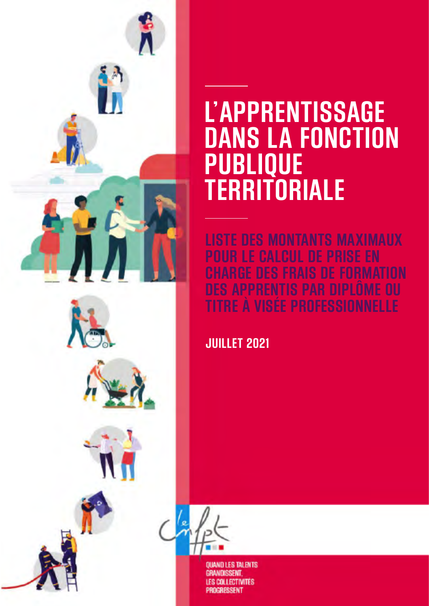

# **L'APPRENTISSAGE DANS LA FONCTION PUBLIQUE TERRITORIALE**

**LISTE DES MONTANTS MAXIMAUX POUR LE CALCUL DE PRISE EN**  FRAIS DE FORMATION<br>TS PAR DIPLÔME OU **B APPRENTIS PAR DIPLOME OU<br>BE À VISÉE PROFESSIONNELLE TITLE PROFESSIONNELLE** 

**JUILLET 2021**



**QUAND LES TALENTS GRANDISSENT COLLECTIVITÉS** RESSENT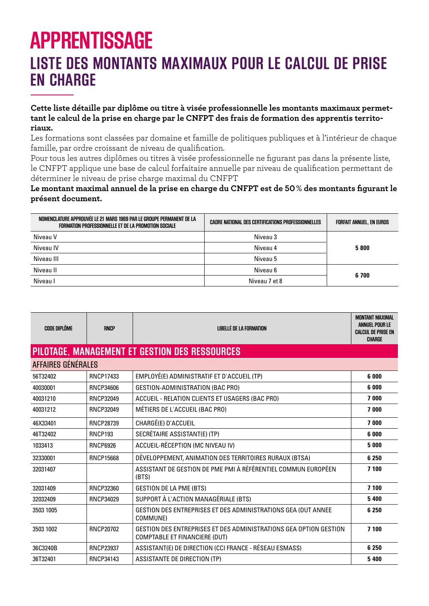## **APPRENTISSAGE LISTE DES MONTANTS MAXIMAUX POUR LE CALCUL DE PRISE EN CHARGE**

#### **Cette liste détaille par diplôme ou titre à visée professionnelle les montants maximaux permettant le calcul de la prise en charge par le CNFPT des frais de formation des apprentis territoriaux.**

Les formations sont classées par domaine et famille de politiques publiques et à l'intérieur de chaque famille, par ordre croissant de niveau de qualification.

Pour tous les autres diplômes ou titres à visée professionnelle ne figurant pas dans la présente liste, le CNFPT applique une base de calcul forfaitaire annuelle par niveau de qualification permettant de déterminer le niveau de prise charge maximal du CNFPT

#### **Le montant maximal annuel de la prise en charge du CNFPT est de 50% des montants figurant le présent document.**

| NOMENCLATURE APPROUVÉE LE 21 MARS 1969 PAR LE GROUPE PERMANENT DE LA<br>FORMATION PROFESSIONNELLE ET DE LA PROMOTION SOCIALE | <b>CADRE NATIONAL DES CERTIFICATIONS PROFESSIONNELLES</b> | <b>FORFAIT ANNUEL. EN EUROS</b> |
|------------------------------------------------------------------------------------------------------------------------------|-----------------------------------------------------------|---------------------------------|
| Niveau V                                                                                                                     | Niveau 3                                                  |                                 |
| Niveau IV                                                                                                                    | Niveau 4                                                  | 5800                            |
| Niveau III                                                                                                                   | Niveau 5                                                  |                                 |
| Niveau II                                                                                                                    | Niveau 6                                                  | 6700                            |
| Niveau I                                                                                                                     | Niveau 7 et 8                                             |                                 |

| <b>CODE DIPLÔME</b> | <b>RNCP</b>      | <b>LIBELLÉ DE LA FORMATION</b>                                                                            | <b>MONTANT MAXIMAL</b><br><b>ANNUEL POUR LE</b><br><b>CALCUL DE PRISE EN</b><br><b>CHARGE</b> |
|---------------------|------------------|-----------------------------------------------------------------------------------------------------------|-----------------------------------------------------------------------------------------------|
|                     |                  | PILOTAGE, MANAGEMENT ET GESTION DES RESSOURCES                                                            |                                                                                               |
| AFFAIRES GÉNÉRALES  |                  |                                                                                                           |                                                                                               |
| 56T32402            | <b>RNCP17433</b> | EMPLOYÉ(E) ADMINISTRATIF ET D'ACCUEIL (TP)                                                                | 6 000                                                                                         |
| 40030001            | RNCP34606        | GESTION-ADMINISTRATION (BAC PRO)                                                                          | 6 0 0 0                                                                                       |
| 40031210            | <b>RNCP32049</b> | ACCUEIL - RELATION CLIENTS ET USAGERS (BAC PRO)                                                           | 7000                                                                                          |
| 40031212            | <b>RNCP32049</b> | MÉTIERS DE L'ACCUEIL (BAC PRO)                                                                            | 7000                                                                                          |
| 46X33401            | <b>RNCP28739</b> | CHARGÉ(E) D'ACCUEIL                                                                                       | 7000                                                                                          |
| 46T32402            | <b>RNCP193</b>   | SECRÉTAIRE ASSISTANT(E) (TP)                                                                              | 6 0 0 0                                                                                       |
| 1033413             | <b>RNCP6926</b>  | ACCUEIL-RÉCEPTION (MC NIVEAU IV)                                                                          | 5 0 0 0                                                                                       |
| 32330001            | <b>RNCP15668</b> | DÉVELOPPEMENT, ANIMATION DES TERRITOIRES RURAUX (BTSA)                                                    | 6 2 5 0                                                                                       |
| 32031407            |                  | ASSISTANT DE GESTION DE PME PMI À RÉFÉRENTIEL COMMUN EUROPÉEN<br>(BTS)                                    | 7 100                                                                                         |
| 32031409            | RNCP32360        | <b>GESTION DE LA PME (BTS)</b>                                                                            | 7 100                                                                                         |
| 32032409            | RNCP34029        | SUPPORT À L'ACTION MANAGÉRIALE (BTS)                                                                      | 5400                                                                                          |
| 3503 1005           |                  | GESTION DES ENTREPRISES ET DES ADMINISTRATIONS GEA (DUT ANNEE<br>COMMUNE)                                 | 6 2 5 0                                                                                       |
| 3503 1002           | <b>RNCP20702</b> | GESTION DES ENTREPRISES ET DES ADMINISTRATIONS GEA OPTION GESTION<br><b>COMPTABLE ET FINANCIERE (DUT)</b> | 7 100                                                                                         |
| 36C3240B            | <b>RNCP23937</b> | ASSISTANT(E) DE DIRECTION (CCI FRANCE - RÉSEAU ESMASS)                                                    | 6 2 5 0                                                                                       |
| 36T32401            | RNCP34143        | ASSISTANTE DE DIRECTION (TP)                                                                              | 5 4 0 0                                                                                       |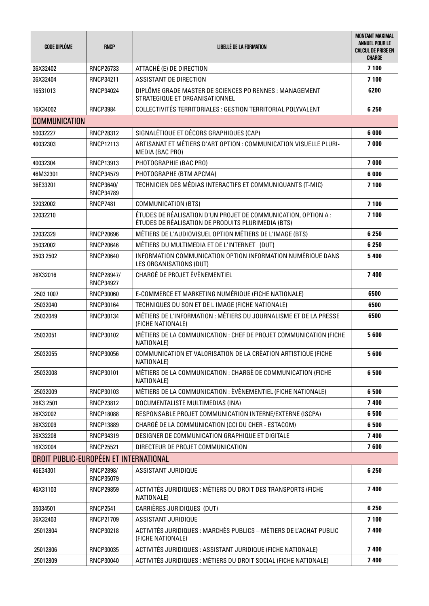| <b>CODE DIPLÔME</b>                    | <b>RNCP</b>                    | LIBELLÉ DE LA FORMATION                                                                                              | <b>MONTANT MAXIMAL</b><br><b>ANNUEL POUR LE</b><br><b>CALCUL DE PRISE EN</b><br>CHARGE |
|----------------------------------------|--------------------------------|----------------------------------------------------------------------------------------------------------------------|----------------------------------------------------------------------------------------|
| 36X32402                               | RNCP26733                      | ATTACHÉ (E) DE DIRECTION                                                                                             | 7 100                                                                                  |
| 36X32404                               | RNCP34211                      | <b>ASSISTANT DE DIRECTION</b>                                                                                        | 7 100                                                                                  |
| 16531013                               | <b>RNCP34024</b>               | DIPLÔME GRADE MASTER DE SCIENCES PO RENNES : MANAGEMENT<br>STRATEGIQUE ET ORGANISATIONNEL                            | 6200                                                                                   |
| 16X34002                               | <b>RNCP3984</b>                | COLLECTIVITÉS TERRITORIALES : GESTION TERRITORIAL POLYVALENT                                                         | 6 2 5 0                                                                                |
| <b>COMMUNICATION</b>                   |                                |                                                                                                                      |                                                                                        |
| 50032227                               | <b>RNCP28312</b>               | SIGNALÉTIQUE ET DÉCORS GRAPHIQUES (CAP)                                                                              | 6 000                                                                                  |
| 40032303                               | RNCP12113                      | ARTISANAT ET MÉTIERS D'ART OPTION : COMMUNICATION VISUELLE PLURI-<br>MEDIA (BAC PRO)                                 | 7000                                                                                   |
| 40032304                               | RNCP13913                      | PHOTOGRAPHIE (BAC PRO)                                                                                               | 7000                                                                                   |
| 46M32301                               | <b>RNCP34579</b>               | PHOTOGRAPHE (BTM APCMA)                                                                                              | 6 000                                                                                  |
| 36E33201                               | RNCP3640/<br>RNCP34789         | TECHNICIEN DES MÉDIAS INTERACTIFS ET COMMUNIQUANTS (T-MIC)                                                           | 7 100                                                                                  |
| 32032002                               | <b>RNCP7481</b>                | COMMUNICATION (BTS)                                                                                                  | 7 100                                                                                  |
| 32032210                               |                                | ÉTUDES DE RÉALISATION D'UN PROJET DE COMMUNICATION, OPTION A :<br>ÉTUDES DE RÉALISATION DE PRODUITS PLURIMEDIA (BTS) | 7 100                                                                                  |
| 32032329                               | <b>RNCP20696</b>               | MÉTIERS DE L'AUDIOVISUEL OPTION MÉTIERS DE L'IMAGE (BTS)                                                             | 6 2 5 0                                                                                |
| 35032002                               | <b>RNCP20646</b>               | MÉTIERS DU MULTIMEDIA ET DE L'INTERNET (DUT)                                                                         | 6 2 5 0                                                                                |
| 3503 2502                              | <b>RNCP20640</b>               | INFORMATION COMMUNICATION OPTION INFORMATION NUMÉRIQUE DANS<br>LES ORGANISATIONS (DUT)                               | 5400                                                                                   |
| 26X32016                               | RNCP28947/<br><b>RNCP34927</b> | CHARGÉ DE PROJET ÉVÉNEMENTIEL                                                                                        | 7 400                                                                                  |
| 2503 1007                              | RNCP30060                      | E-COMMERCE ET MARKETING NUMÉRIQUE (FICHE NATIONALE)                                                                  | 6500                                                                                   |
| 25032040                               | RNCP30164                      | TECHNIQUES DU SON ET DE L'IMAGE (FICHE NATIONALE)                                                                    | 6500                                                                                   |
| 25032049                               | RNCP30134                      | MÉTIERS DE L'INFORMATION : MÉTIERS DU JOURNALISME ET DE LA PRESSE<br>(FICHE NATIONALE)                               | 6500                                                                                   |
| 25032051                               | RNCP30102                      | MÉTIERS DE LA COMMUNICATION : CHEF DE PROJET COMMUNICATION (FICHE<br>NATIONALE)                                      | 5600                                                                                   |
| 25032055                               | RNCP30056                      | COMMUNICATION ET VALORISATION DE LA CRÉATION ARTISTIQUE (FICHE<br>NATIONALE)                                         | 5600                                                                                   |
| 25032008                               | RNCP30101                      | MÉTIERS DE LA COMMUNICATION : CHARGÉ DE COMMUNICATION (FICHE<br>NATIONALE)                                           | 6500                                                                                   |
| 25032009                               | RNCP30103                      | MÉTIERS DE LA COMMUNICATION : ÉVÉNEMENTIEL (FICHE NATIONALE)                                                         | 6500                                                                                   |
| 26K3 2501                              | <b>RNCP23812</b>               | DOCUMENTALISTE MULTIMEDIAS (INA)                                                                                     | 7400                                                                                   |
| 26X32002                               | <b>RNCP18088</b>               | RESPONSABLE PROJET COMMUNICATION INTERNE/EXTERNE (ISCPA)                                                             | 6500                                                                                   |
| 26X32009                               | <b>RNCP13889</b>               | CHARGÉ DE LA COMMUNICATION (CCI DU CHER - ESTACOM)                                                                   | 6500                                                                                   |
| 26X32208                               | RNCP34319                      | DESIGNER DE COMMUNICATION GRAPHIQUE ET DIGITALE                                                                      | 7 400                                                                                  |
| 16X32004                               | <b>RNCP25521</b>               | DIRECTEUR DE PROJET COMMUNICATION                                                                                    | 7600                                                                                   |
| DROIT PUBLIC-EUROPÉEN ET INTERNATIONAL |                                |                                                                                                                      |                                                                                        |
| 46E34301                               | <b>RNCP2898/</b><br>RNCP35079  | ASSISTANT JURIDIQUE                                                                                                  | 6 2 5 0                                                                                |
| 46X31103                               | <b>RNCP29859</b>               | ACTIVITÉS JURIDIQUES : MÉTIERS DU DROIT DES TRANSPORTS (FICHE<br>NATIONALE)                                          | 7 400                                                                                  |
| 35034501                               | <b>RNCP2541</b>                | CARRIÈRES JURIDIQUES (DUT)                                                                                           | 6 2 5 0                                                                                |
| 36X32403                               | RNCP21709                      | ASSISTANT JURIDIQUE                                                                                                  | 7 100                                                                                  |
| 25012804                               | RNCP30218                      | ACTIVITÉS JURIDIQUES : MARCHÉS PUBLICS - MÉTIERS DE L'ACHAT PUBLIC<br>(FICHE NATIONALE)                              | 7400                                                                                   |
| 25012806                               | RNCP30035                      | ACTIVITÉS JURIDIQUES : ASSISTANT JURIDIQUE (FICHE NATIONALE)                                                         | 7400                                                                                   |
| 25012809                               | RNCP30040                      | ACTIVITÉS JURIDIQUES : MÉTIERS DU DROIT SOCIAL (FICHE NATIONALE)                                                     | 7 400                                                                                  |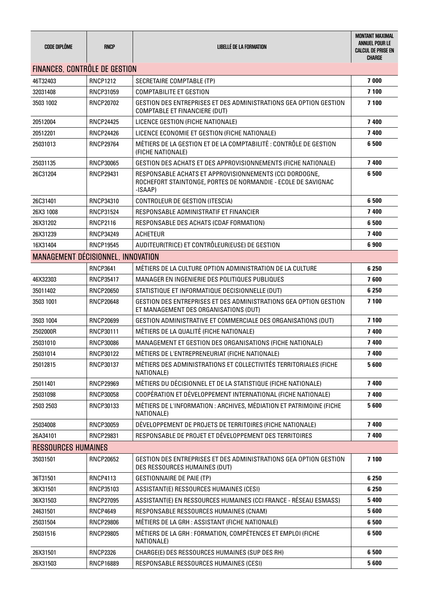| <b>CODE DIPLÔME</b>                  | <b>RNCP</b>      | <b>LIBELLÉ DE LA FORMATION</b>                                                                                                      | <b>MONTANT MAXIMAL</b><br>ANNUEL POUR LE<br><b>CALCUL DE PRISE EN</b><br>CHARGE |
|--------------------------------------|------------------|-------------------------------------------------------------------------------------------------------------------------------------|---------------------------------------------------------------------------------|
| <b>FINANCES, CONTRÔLE DE GESTION</b> |                  |                                                                                                                                     |                                                                                 |
| 46T32403                             | <b>RNCP1212</b>  | SECRETAIRE COMPTABLE (TP)                                                                                                           | 7000                                                                            |
| 32031408                             | RNCP31059        | <b>COMPTABILITE ET GESTION</b>                                                                                                      | 7 100                                                                           |
| 3503 1002                            | <b>RNCP20702</b> | GESTION DES ENTREPRISES ET DES ADMINISTRATIONS GEA OPTION GESTION<br><b>COMPTABLE ET FINANCIERE (DUT)</b>                           | 7 100                                                                           |
| 20512004                             | <b>RNCP24425</b> | LICENCE GESTION (FICHE NATIONALE)                                                                                                   | 7400                                                                            |
| 20512201                             | <b>RNCP24426</b> | LICENCE ECONOMIE ET GESTION (FICHE NATIONALE)                                                                                       | 7400                                                                            |
| 25031013                             | <b>RNCP29764</b> | MÉTIERS DE LA GESTION ET DE LA COMPTABILITÉ : CONTRÔLE DE GESTION<br>(FICHE NATIONALE)                                              | 6500                                                                            |
| 25031135                             | <b>RNCP30065</b> | GESTION DES ACHATS ET DES APPROVISIONNEMENTS (FICHE NATIONALE)                                                                      | 7400                                                                            |
| 26C31204                             | <b>RNCP29431</b> | RESPONSABLE ACHATS ET APPROVISIONNEMENTS (CCI DORDOGNE,<br>ROCHEFORT STAINTONGE, PORTES DE NORMANDIE - ECOLE DE SAVIGNAC<br>-ISAAP) | 6500                                                                            |
| 26C31401                             | RNCP34310        | CONTROLEUR DE GESTION (ITESCIA)                                                                                                     | 6500                                                                            |
| 26X3 1008                            | <b>RNCP31524</b> | RESPONSABLE ADMINISTRATIF ET FINANCIER                                                                                              | 7400                                                                            |
| 26X31202                             | <b>RNCP2116</b>  | RESPONSABLE DES ACHATS (CDAF FORMATION)                                                                                             | 6500                                                                            |
| 26X31239                             | RNCP34249        | <b>ACHETEUR</b>                                                                                                                     | 7400                                                                            |
| 16X31404                             | <b>RNCP19545</b> | AUDITEUR(TRICE) ET CONTRÔLEUR(EUSE) DE GESTION                                                                                      | 6900                                                                            |
| MANAGEMENT DECISIONNEL, INNOVATION   |                  |                                                                                                                                     |                                                                                 |
|                                      | <b>RNCP3641</b>  | MÉTIERS DE LA CULTURE OPTION ADMINISTRATION DE LA CULTURE                                                                           | 6 2 5 0                                                                         |
| 46X32303                             | <b>RNCP35417</b> | MANAGER EN INGENIERIE DES POLITIQUES PUBLIQUES                                                                                      | 7600                                                                            |
| 35011402                             | RNCP20650        | STATISTIQUE ET INFORMATIQUE DECISIONNELLE (DUT)                                                                                     | 6 2 5 0                                                                         |
| 3503 1001                            | RNCP20648        | GESTION DES ENTREPRISES ET DES ADMINISTRATIONS GEA OPTION GESTION<br>ET MANAGEMENT DES ORGANISATIONS (DUT)                          | 7 100                                                                           |
| 3503 1004                            | RNCP20699        | GESTION ADMINISTRATIVE ET COMMERCIALE DES ORGANISATIONS (DUT)                                                                       | 7 100                                                                           |
| 2502000R                             | RNCP30111        | MÉTIERS DE LA QUALITÉ (FICHE NATIONALE)                                                                                             | 7400                                                                            |
| 25031010                             | RNCP30086        | MANAGEMENT ET GESTION DES ORGANISATIONS (FICHE NATIONALE)                                                                           | 7400                                                                            |
| 25031014                             | RNCP30122        | MÉTIERS DE L'ENTREPRENEURIAT (FICHE NATIONALE)                                                                                      | 7 400                                                                           |
| 25012815                             | RNCP30137        | MÉTIERS DES ADMINISTRATIONS ET COLLECTIVITÉS TERRITORIALES (FICHE<br>NATIONALE)                                                     | 5600                                                                            |
| 25011401                             | <b>RNCP29969</b> | MÉTIERS DU DÉCISIONNEL ET DE LA STATISTIQUE (FICHE NATIONALE)                                                                       | 7400                                                                            |
| 25031098                             | RNCP30058        | COOPÉRATION ET DÉVELOPPEMENT INTERNATIONAL (FICHE NATIONALE)                                                                        | 7 400                                                                           |
| 2503 2503                            | RNCP30133        | MÉTIERS DE L'INFORMATION : ARCHIVES, MÉDIATION ET PATRIMOINE (FICHE<br>NATIONALE)                                                   | 5600                                                                            |
| 25034008                             | RNCP30059        | DÉVELOPPEMENT DE PROJETS DE TERRITOIRES (FICHE NATIONALE)                                                                           | 7400                                                                            |
| 26A34101                             | <b>RNCP29831</b> | RESPONSABLE DE PROJET ET DÉVELOPPEMENT DES TERRITOIRES                                                                              | 7400                                                                            |
| <b>RESSOURCES HUMAINES</b>           |                  |                                                                                                                                     |                                                                                 |
| 35031501                             | <b>RNCP20652</b> | GESTION DES ENTREPRISES ET DES ADMINISTRATIONS GEA OPTION GESTION<br>DES RESSOURCES HUMAINES (DUT)                                  | 7 100                                                                           |
| 36T31501                             | <b>RNCP4113</b>  | GESTIONNAIRE DE PAIE (TP)                                                                                                           | 6 2 5 0                                                                         |
| 36X31501                             | RNCP35103        | ASSISTANT(E) RESSOURCES HUMAINES (CESI)                                                                                             | 6 2 5 0                                                                         |
| 36X31503                             | <b>RNCP27095</b> | ASSISTANT(E) EN RESSOURCES HUMAINES (CCI FRANCE - RÉSEAU ESMASS)                                                                    | 5 4 0 0                                                                         |
| 24631501                             | <b>RNCP4649</b>  | RESPONSABLE RESSOURCES HUMAINES (CNAM)                                                                                              | 5600                                                                            |
| 25031504                             | <b>RNCP29806</b> | MÉTIERS DE LA GRH : ASSISTANT (FICHE NATIONALE)                                                                                     | 6500                                                                            |
| 25031516                             | <b>RNCP29805</b> | MÉTIERS DE LA GRH : FORMATION, COMPÉTENCES ET EMPLOI (FICHE<br>NATIONALE)                                                           | 6500                                                                            |
| 26X31501                             | <b>RNCP2326</b>  | CHARGE(E) DES RESSOURCES HUMAINES (SUP DES RH)                                                                                      | 6500                                                                            |
| 26X31503                             | <b>RNCP16889</b> | RESPONSABLE RESSOURCES HUMAINES (CESI)                                                                                              | 5600                                                                            |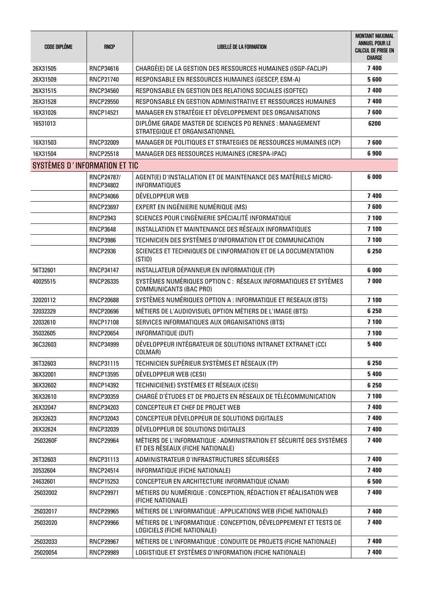| <b>CODE DIPLÔME</b>           | <b>RNCP</b>                    | <b>LIBELLÉ DE LA FORMATION</b>                                                                          | <b>MONTANT MAXIMAL</b><br><b>ANNUEL POUR LE</b><br><b>CALCUL DE PRISE EN</b><br><b>CHARGE</b> |
|-------------------------------|--------------------------------|---------------------------------------------------------------------------------------------------------|-----------------------------------------------------------------------------------------------|
| 26X31505                      | RNCP34616                      | CHARGÉ(E) DE LA GESTION DES RESSOURCES HUMAINES (ISGP-FACLIP)                                           | 7 400                                                                                         |
| 26X31509                      | <b>RNCP21740</b>               | RESPONSABLE EN RESSOURCES HUMAINES (GESCEP, ESM-A)                                                      | 5600                                                                                          |
| 26X31515                      | <b>RNCP34560</b>               | RESPONSABLE EN GESTION DES RELATIONS SOCIALES (SOFTEC)                                                  | 7400                                                                                          |
| 26X31528                      | <b>RNCP29550</b>               | RESPONSABLE EN GESTION ADMINISTRATIVE ET RESSOURCES HUMAINES                                            | 7400                                                                                          |
| 16X31026                      | <b>RNCP14521</b>               | MANAGER EN STRATÉGIE ET DÉVELOPPEMENT DES ORGANISATIONS                                                 | 7600                                                                                          |
| 16531013                      |                                | DIPLÔME GRADE MASTER DE SCIENCES PO RENNES : MANAGEMENT<br>STRATEGIQUE ET ORGANISATIONNEL               | 6200                                                                                          |
| 16X31503                      | <b>RNCP32009</b>               | MANAGER DE POLITIQUES ET STRATEGIES DE RESSOURCES HUMAINES (ICP)                                        | 7600                                                                                          |
| 16X31504                      | <b>RNCP25518</b>               | MANAGER DES RESSOURCES HUMAINES (CRESPA-IPAC)                                                           | 6900                                                                                          |
| SYSTÈMES D'INFORMATION ET TIC |                                |                                                                                                         |                                                                                               |
|                               | RNCP24787/<br><b>RNCP34802</b> | AGENT(E) D'INSTALLATION ET DE MAINTENANCE DES MATÉRIELS MICRO-<br><b>INFORMATIQUES</b>                  | 6 000                                                                                         |
|                               | <b>RNCP34066</b>               | DÉVELOPPEUR WEB                                                                                         | 7400                                                                                          |
|                               | <b>RNCP23697</b>               | EXPERT EN INGÉNIERIE NUMÉRIQUE (MS)                                                                     | 7600                                                                                          |
|                               | <b>RNCP2943</b>                | SCIENCES POUR L'INGÉNIERIE SPÉCIALITÉ INFORMATIQUE                                                      | 7 100                                                                                         |
|                               | <b>RNCP3648</b>                | INSTALLATION ET MAINTENANCE DES RÉSEAUX INFORMATIQUES                                                   | 7 100                                                                                         |
|                               | <b>RNCP3986</b>                | TECHNICIEN DES SYSTÈMES D'INFORMATION ET DE COMMUNICATION                                               | 7 100                                                                                         |
|                               | <b>RNCP2936</b>                | SCIENCES ET TECHNIQUES DE L'INFORMATION ET DE LA DOCUMENTATION<br>(STID)                                | 6 2 5 0                                                                                       |
| 56T32601                      | <b>RNCP34147</b>               | INSTALLATEUR DÉPANNEUR EN INFORMATIQUE (TP)                                                             | 6 0 0 0                                                                                       |
| 40025515                      | RNCP26335                      | SYSTÈMES NUMÉRIQUES OPTION C : RÉSEAUX INFORMATIQUES ET SYTÈMES<br>COMMUNICANTS (BAC PRO)               | 7000                                                                                          |
| 32020112                      | <b>RNCP20688</b>               | SYSTÈMES NUMÉRIQUES OPTION A : INFORMATIQUE ET RESEAUX (BTS)                                            | 7 100                                                                                         |
| 32032329                      | <b>RNCP20696</b>               | MÉTIERS DE L'AUDIOVISUEL OPTION MÉTIERS DE L'IMAGE (BTS)                                                | 6 2 5 0                                                                                       |
| 32032610                      | <b>RNCP17108</b>               | SERVICES INFORMATIQUES AUX ORGANISATIONS (BTS)                                                          | 7 100                                                                                         |
| 35032605                      | <b>RNCP20654</b>               | INFORMATIQUE (DUT)                                                                                      | 7 100                                                                                         |
| 36C32603                      | <b>RNCP34999</b>               | DÉVELOPPEUR INTÉGRATEUR DE SOLUTIONS INTRANET EXTRANET (CCI<br>COLMAR)                                  | 5 4 0 0                                                                                       |
| 36T32603                      | RNCP31115                      | TECHNICIEN SUPÉRIEUR SYSTÈMES ET RÉSEAUX (TP)                                                           | 6 2 5 0                                                                                       |
| 36X32001                      | <b>RNCP13595</b>               | DÉVELOPPEUR WEB (CESI)                                                                                  | 5 4 0 0                                                                                       |
| 36X32602                      | RNCP14392                      | TECHNICIEN(E) SYSTÈMES ET RÉSEAUX (CESI)                                                                | 6 2 5 0                                                                                       |
| 36X32610                      | RNCP30359                      | CHARGÉ D'ÉTUDES ET DE PROJETS EN RÉSEAUX DE TÉLÉCOMMUNICATION                                           | 7 100                                                                                         |
| 26X32047                      | <b>RNCP34203</b>               | <b>CONCEPTEUR ET CHEF DE PROJET WEB</b>                                                                 | 7400                                                                                          |
| 26X32623                      | <b>RNCP32043</b>               | CONCEPTEUR DÉVELOPPEUR DE SOLUTIONS DIGITALES                                                           | 7400                                                                                          |
| 26X32624                      | RNCP32039                      | DÉVELOPPEUR DE SOLUTIONS DIGITALES                                                                      | 7400                                                                                          |
| 2503260F                      | <b>RNCP29964</b>               | MÉTIERS DE L'INFORMATIQUE : ADMINISTRATION ET SÉCURITÉ DES SYSTÈMES<br>ET DES RÉSEAUX (FICHE NATIONALE) | 7400                                                                                          |
| 26T32603                      | RNCP31113                      | ADMINISTRATEUR D'INFRASTRUCTURES SÉCURISÉES                                                             | 7400                                                                                          |
| 20532604                      | <b>RNCP24514</b>               | INFORMATIQUE (FICHE NATIONALE)                                                                          | 7400                                                                                          |
| 24632601                      | <b>RNCP15253</b>               | CONCEPTEUR EN ARCHITECTURE INFORMATIQUE (CNAM)                                                          | 6 500                                                                                         |
| 25032002                      | <b>RNCP29971</b>               | MÉTIERS DU NUMÉRIQUE : CONCEPTION, RÉDACTION ET RÉALISATION WEB<br>(FICHE NATIONALE)                    | 7400                                                                                          |
| 25032017                      | <b>RNCP29965</b>               | MÉTIERS DE L'INFORMATIQUE : APPLICATIONS WEB (FICHE NATIONALE)                                          | 7400                                                                                          |
| 25032020                      | <b>RNCP29966</b>               | MÉTIERS DE L'INFORMATIQUE : CONCEPTION, DÉVELOPPEMENT ET TESTS DE<br>LOGICIELS (FICHE NATIONALE)        | 7400                                                                                          |
| 25032033                      | <b>RNCP29967</b>               | MÉTIERS DE L'INFORMATIQUE : CONDUITE DE PROJETS (FICHE NATIONALE)                                       | 7 400                                                                                         |
| 25020054                      | <b>RNCP29989</b>               | LOGISTIQUE ET SYSTÈMES D'INFORMATION (FICHE NATIONALE)                                                  | 7 4 0 0                                                                                       |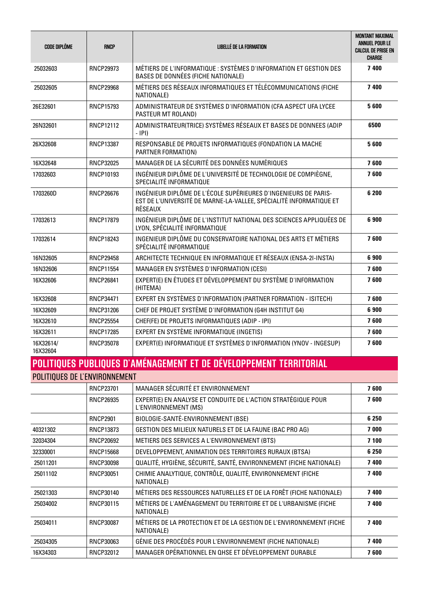| <b>CODE DIPLÔME</b>   | <b>RNCP</b>      | LIBELLE DE LA FORMATION                                                                                                                          | <b>MONTANT MAXIMAL</b><br>ANNUEL POUR LE<br><b>CALCUL DE PRISE EN</b><br><b>CHARGE</b> |
|-----------------------|------------------|--------------------------------------------------------------------------------------------------------------------------------------------------|----------------------------------------------------------------------------------------|
| 25032603              | <b>RNCP29973</b> | MÉTIERS DE L'INFORMATIQUE : SYSTÈMES D'INFORMATION ET GESTION DES<br>BASES DE DONNÉES (FICHE NATIONALE)                                          | 7 400                                                                                  |
| 25032605              | <b>RNCP29968</b> | MÉTIERS DES RÉSEAUX INFORMATIQUES ET TÉLÉCOMMUNICATIONS (FICHE<br>NATIONALE)                                                                     | 7 400                                                                                  |
| 26E32601              | RNCP15793        | ADMINISTRATEUR DE SYSTÈMES D'INFORMATION (CFA ASPECT UFA LYCEE<br>PASTEUR MT ROLAND)                                                             | 5600                                                                                   |
| 26N32601              | <b>RNCP12112</b> | ADMINISTRATEUR(TRICE) SYSTÈMES RÉSEAUX ET BASES DE DONNEES (ADIP<br>$-$ IPI)                                                                     | 6500                                                                                   |
| 26X32608              | <b>RNCP13387</b> | RESPONSABLE DE PROJETS INFORMATIQUES (FONDATION LA MACHE<br>PARTNER FORMATION)                                                                   | 5600                                                                                   |
| 16X32648              | <b>RNCP32025</b> | MANAGER DE LA SÉCURITÉ DES DONNÉES NUMÉRIQUES                                                                                                    | 7600                                                                                   |
| 17032603              | RNCP10193        | INGÉNIEUR DIPLÔME DE L'UNIVERSITÉ DE TECHNOLOGIE DE COMPIÈGNE,<br>SPECIALITÉ INFORMATIQUE                                                        | 7600                                                                                   |
| 1703260D              | <b>RNCP26676</b> | INGÉNIEUR DIPLÔME DE L'ÉCOLE SUPÉRIEURES D'INGENIEURS DE PARIS-<br>EST DE L'UNIVERSITÉ DE MARNE-LA-VALLEE, SPÉCIALITÉ INFORMATIQUE ET<br>RÉSEAUX | 6 200                                                                                  |
| 17032613              | <b>RNCP17879</b> | INGÉNIEUR DIPLÔME DE L'INSTITUT NATIONAL DES SCIENCES APPLIQUÉES DE<br>LYON, SPÉCIALITÉ INFORMATIQUE                                             | 6900                                                                                   |
| 17032614              | <b>RNCP18243</b> | INGENIEUR DIPLÔME DU CONSERVATOIRE NATIONAL DES ARTS ET MÉTIERS<br>SPÉCIALITÉ INFORMATIQUE                                                       | 7600                                                                                   |
| 16N32605              | <b>RNCP29458</b> | ARCHITECTE TECHNIQUE EN INFORMATIQUE ET RÉSEAUX (ENSA-2I-INSTA)                                                                                  | 6900                                                                                   |
| 16N32606              | <b>RNCP11554</b> | MANAGER EN SYSTÈMES D'INFORMATION (CESI)                                                                                                         | 7600                                                                                   |
| 16X32606              | <b>RNCP26841</b> | EXPERT(E) EN ÉTUDES ET DÉVELOPPEMENT DU SYSTÈME D'INFORMATION<br>(HITEMA)                                                                        | 7600                                                                                   |
| 16X32608              | <b>RNCP34471</b> | EXPERT EN SYSTÈMES D'INFORMATION (PARTNER FORMATION - ISITECH)                                                                                   | 7600                                                                                   |
| 16X32609              | RNCP31206        | CHEF DE PROJET SYSTÈME D'INFORMATION (G4H INSTITUT G4)                                                                                           | 6900                                                                                   |
| 16X32610              | <b>RNCP25554</b> | CHEF(FE) DE PROJETS INFORMATIQUES (ADIP - IPI)                                                                                                   | 7600                                                                                   |
| 16X32611              | <b>RNCP17285</b> | EXPERT EN SYSTÈME INFORMATIQUE (INGETIS)                                                                                                         | 7600                                                                                   |
| 16X32614/<br>16X32604 | RNCP35078        | EXPERT(E) INFORMATIQUE ET SYSTÈMES D'INFORMATION (YNOV - INGESUP)                                                                                | 7600                                                                                   |

### **POLITIQUES PUBLIQUES D'AMÉNAGEMENT ET DE DÉVELOPPEMENT TERRITORIAL** POLITIQUES DE L'ENVIRONNEMENT

|          | <b>RNCP23701</b> | MANAGER SÉCURITÉ ET ENVIRONNEMENT                                                     | 7600    |
|----------|------------------|---------------------------------------------------------------------------------------|---------|
|          | <b>RNCP26935</b> | EXPERT(E) EN ANALYSE ET CONDUITE DE L'ACTION STRATÉGIQUE POUR<br>L'ENVIRONNEMENT (MS) | 7600    |
|          | <b>RNCP2901</b>  | BIOLOGIE-SANTÉ-ENVIRONNEMENT (BSE)                                                    | 6 2 5 0 |
| 40321302 | RNCP13873        | GESTION DES MILIEUX NATURELS ET DE LA FAUNE (BAC PRO AG)                              | 7000    |
| 32034304 | <b>RNCP20692</b> | METIERS DES SERVICES A L'ENVIRONNEMENT (BTS)                                          | 7 100   |
| 32330001 | <b>RNCP15668</b> | DEVELOPPEMENT, ANIMATION DES TERRITOIRES RURAUX (BTSA)                                | 6 2 5 0 |
| 25011201 | RNCP30098        | QUALITÉ, HYGIÈNE, SÉCURITÉ, SANTÉ, ENVIRONNEMENT (FICHE NATIONALE)                    | 7400    |
| 25011102 | RNCP30051        | CHIMIE ANALYTIQUE, CONTRÔLE, QUALITÉ, ENVIRONNEMENT (FICHE<br>NATIONALE)              | 7400    |
| 25021303 | RNCP30140        | MÉTIERS DES RESSOURCES NATURELLES ET DE LA FORÊT (FICHE NATIONALE)                    | 7400    |
| 25034002 | RNCP30115        | MÉTIERS DE L'AMÉNAGEMENT DU TERRITOIRE ET DE L'URBANISME (FICHE<br>NATIONALE)         | 7400    |
| 25034011 | RNCP30087        | MÉTIERS DE LA PROTECTION ET DE LA GESTION DE L'ENVIRONNEMENT (FICHE<br>NATIONALE)     | 7400    |
| 25034305 | RNCP30063        | GÉNIE DES PROCÉDÉS POUR L'ENVIRONNEMENT (FICHE NATIONALE)                             | 7400    |
| 16X34303 | RNCP32012        | MANAGER OPÉRATIONNEL EN QHSE ET DÉVELOPPEMENT DURABLE                                 | 7600    |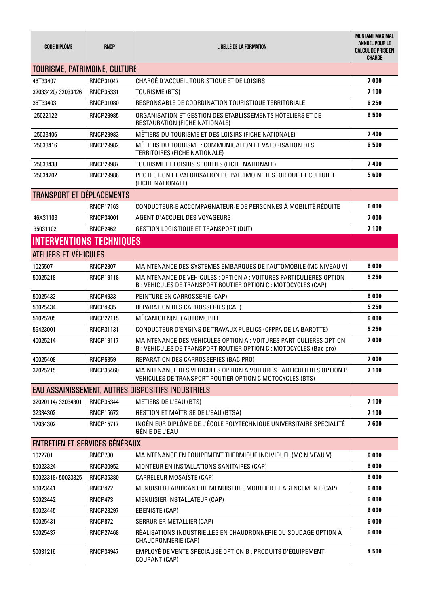| <b>CODE DIPLÔME</b>              | <b>RNCP</b>      | LIBELLÉ DE LA FORMATION                                                                                                                 | <b>MONTANT MAXIMAL</b><br>ANNUEL POUR LE<br><b>CALCUL DE PRISE EN</b><br>CHARGE |
|----------------------------------|------------------|-----------------------------------------------------------------------------------------------------------------------------------------|---------------------------------------------------------------------------------|
| TOURISME, PATRIMOINE, CULTURE    |                  |                                                                                                                                         |                                                                                 |
| 46T33407                         | RNCP31047        | CHARGÉ D'ACCUEIL TOURISTIQUE ET DE LOISIRS                                                                                              | 7000                                                                            |
| 32033420/32033426                | RNCP35331        | TOURISME (BTS)                                                                                                                          | 7 100                                                                           |
| 36T33403                         | RNCP31080        | RESPONSABLE DE COORDINATION TOURISTIQUE TERRITORIALE                                                                                    | 6 2 5 0                                                                         |
| 25022122                         | <b>RNCP29985</b> | ORGANISATION ET GESTION DES ÉTABLISSEMENTS HÔTELIERS ET DE<br>RESTAURATION (FICHE NATIONALE)                                            | 6 500                                                                           |
| 25033406                         | <b>RNCP29983</b> | MÉTIERS DU TOURISME ET DES LOISIRS (FICHE NATIONALE)                                                                                    | 7400                                                                            |
| 25033416                         | RNCP29982        | MÉTIERS DU TOURISME : COMMUNICATION ET VALORISATION DES<br>TERRITOIRES (FICHE NATIONALE)                                                | 6500                                                                            |
| 25033438                         | <b>RNCP29987</b> | TOURISME ET LOISIRS SPORTIFS (FICHE NATIONALE)                                                                                          | 7 400                                                                           |
| 25034202                         | <b>RNCP29986</b> | PROTECTION ET VALORISATION DU PATRIMOINE HISTORIQUE ET CULTUREL<br>(FICHE NATIONALE)                                                    | 5600                                                                            |
| <b>TRANSPORT ET DÉPLACEMENTS</b> |                  |                                                                                                                                         |                                                                                 |
|                                  | RNCP17163        | CONDUCTEUR-E ACCOMPAGNATEUR-E DE PERSONNES À MOBILITÉ RÉDUITE                                                                           | 6 000                                                                           |
| 46X31103                         | RNCP34001        | AGENT D'ACCUEIL DES VOYAGEURS                                                                                                           | 7000                                                                            |
| 35031102                         | <b>RNCP2462</b>  | <b>GESTION LOGISTIQUE ET TRANSPORT (DUT)</b>                                                                                            | 7 100                                                                           |
| <b>INTERVENTIONS TECHNIQUES</b>  |                  |                                                                                                                                         |                                                                                 |
| ATELIERS ET VÉHICULES            |                  |                                                                                                                                         |                                                                                 |
| 1025507                          | <b>RNCP2807</b>  | MAINTENANCE DES SYSTEMES EMBARQUES DE l'AUTOMOBILE (MC NIVEAU V)                                                                        | 6 000                                                                           |
| 50025218                         | <b>RNCP19118</b> | MAINTENANCE DE VEHICULES : OPTION A : VOITURES PARTICULIERES OPTION<br>B: VEHICULES DE TRANSPORT ROUTIER OPTION C: MOTOCYCLES (CAP)     | 5 2 5 0                                                                         |
| 50025433                         | <b>RNCP4933</b>  | PEINTURE EN CARROSSERIE (CAP)                                                                                                           | 6 000                                                                           |
| 50025434                         | <b>RNCP4935</b>  | REPARATION DES CARROSSERIES (CAP)                                                                                                       | 5 2 5 0                                                                         |
| 51025205                         | <b>RNCP27115</b> | MÉCANICIEN(NE) AUTOMOBILE                                                                                                               | 6 000                                                                           |
| 56423001                         | RNCP31131        | CONDUCTEUR D'ENGINS DE TRAVAUX PUBLICS (CFPPA DE LA BAROTTE)                                                                            | 5 2 5 0                                                                         |
| 40025214                         | <b>RNCP19117</b> | MAINTENANCE DES VEHICULES OPTION A : VOITURES PARTICULIERES OPTION<br>B: VEHICULES DE TRANSPORT ROUTIER OPTION C : MOTOCYCLES (Bac pro) | 7 000                                                                           |
| 40025408                         | <b>RNCP5859</b>  | REPARATION DES CARROSSERIES (BAC PRO)                                                                                                   | 7000                                                                            |
| 32025215                         | <b>RNCP35460</b> | MAINTENANCE DES VEHICULES OPTION A VOITURES PARTICULIERES OPTION B<br>VEHICULES DE TRANSPORT ROUTIER OPTION C MOTOCYCLES (BTS)          | 7 100                                                                           |
|                                  |                  | EAU ASSAINISSEMENT. AUTRES DISPOSITIFS INDUSTRIELS                                                                                      |                                                                                 |
| 32020114/32034301                | <b>RNCP35344</b> | <b>METIERS DE L'EAU (BTS)</b>                                                                                                           | 7 100                                                                           |
| 32334302                         | <b>RNCP15672</b> | <b>GESTION ET MAÎTRISE DE L'EAU (BTSA)</b>                                                                                              | 7 100                                                                           |
| 17034302                         | <b>RNCP15717</b> | INGÉNIEUR DIPLÔME DE L'ÉCOLE POLYTECHNIQUE UNIVERSITAIRE SPÉCIALITÉ<br>GÉNIE DE L'EAU                                                   | 7600                                                                            |
| ENTRETIEN ET SERVICES GÉNÉRAUX   |                  |                                                                                                                                         |                                                                                 |
| 1022701                          | <b>RNCP730</b>   | MAINTENANCE EN EQUIPEMENT THERMIQUE INDIVIDUEL (MC NIVEAU V)                                                                            | 6 000                                                                           |
| 50023324                         | RNCP30952        | MONTEUR EN INSTALLATIONS SANITAIRES (CAP)                                                                                               | 6 000                                                                           |
| 50023318/50023325                | <b>RNCP35380</b> | CARRELEUR MOSAÏSTE (CAP)                                                                                                                | 6 000                                                                           |
| 50023441                         | <b>RNCP472</b>   | MENUISIER FABRICANT DE MENUISERIE, MOBILIER ET AGENCEMENT (CAP)                                                                         | 6 000                                                                           |
| 50023442                         | <b>RNCP473</b>   | MENUISIER INSTALLATEUR (CAP)                                                                                                            | 6 000                                                                           |
| 50023445                         | <b>RNCP28297</b> | ÉBÉNISTE (CAP)                                                                                                                          | 6 000                                                                           |
| 50025431                         | <b>RNCP872</b>   | SERRURIER MÉTALLIER (CAP)                                                                                                               | 6 000                                                                           |
| 50025437                         | <b>RNCP27468</b> | RÉALISATIONS INDUSTRIELLES EN CHAUDRONNERIE OU SOUDAGE OPTION À<br>CHAUDRONNERIE (CAP)                                                  | 6 000                                                                           |
| 50031216                         | <b>RNCP34947</b> | EMPLOYÉ DE VENTE SPÉCIALISÉ OPTION B : PRODUITS D'ÉQUIPEMENT<br>COURANT (CAP)                                                           | 4500                                                                            |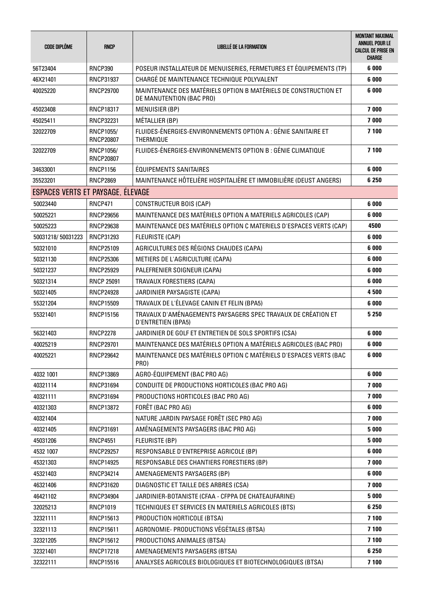| <b>CODE DIPLÔME</b>               | <b>RNCP</b>                   | <b>LIBELLÉ DE LA FORMATION</b>                                                              | <b>MONTANT MAXIMAL</b><br>ANNUEL POUR LE<br><b>CALCUL DE PRISE EN</b><br><b>CHARGE</b> |
|-----------------------------------|-------------------------------|---------------------------------------------------------------------------------------------|----------------------------------------------------------------------------------------|
| 56T23404                          | <b>RNCP390</b>                | POSEUR INSTALLATEUR DE MENUISERIES, FERMETURES ET ÉQUIPEMENTS (TP)                          | 6 000                                                                                  |
| 46X21401                          | RNCP31937                     | CHARGÉ DE MAINTENANCE TECHNIQUE POLYVALENT                                                  | 6 000                                                                                  |
| 40025220                          | <b>RNCP29700</b>              | MAINTENANCE DES MATÉRIELS OPTION B MATÉRIELS DE CONSTRUCTION ET<br>DE MANUTENTION (BAC PRO) | 6 0 0 0                                                                                |
| 45023408                          | <b>RNCP18317</b>              | <b>MENUISIER (BP)</b>                                                                       | 7000                                                                                   |
| 45025411                          | RNCP32231                     | MÉTALLIER (BP)                                                                              | 7000                                                                                   |
| 32022709                          | RNCP1055/<br><b>RNCP20807</b> | FLUIDES-ÉNERGIES-ENVIRONNEMENTS OPTION A : GÉNIE SANITAIRE ET<br><b>THERMIQUE</b>           | 7 100                                                                                  |
| 32022709                          | RNCP1056/<br><b>RNCP20807</b> | FLUIDES-ÉNERGIES-ENVIRONNEMENTS OPTION B : GÉNIE CLIMATIQUE                                 | 7 100                                                                                  |
| 34633001                          | <b>RNCP1156</b>               | <b>ÉQUIPEMENTS SANITAIRES</b>                                                               | 6 000                                                                                  |
| 35523201                          | <b>RNCP2869</b>               | MAINTENANCE HÔTELIÈRE HOSPITALIÈRE ET IMMOBILIÈRE (DEUST ANGERS)                            | 6 2 5 0                                                                                |
| ESPACES VERTS ET PAYSAGE, ELEVAGE |                               |                                                                                             |                                                                                        |
| 50023440                          | <b>RNCP471</b>                | CONSTRUCTEUR BOIS (CAP)                                                                     | 6 000                                                                                  |
| 50025221                          | <b>RNCP29656</b>              | MAINTENANCE DES MATÉRIELS OPTION A MATERIELS AGRICOLES (CAP)                                | 6 000                                                                                  |
| 50025223                          | <b>RNCP29638</b>              | MAINTENANCE DES MATÉRIELS OPTION C MATERIELS D'ESPACES VERTS (CAP)                          | 4500                                                                                   |
| 50031218/50031223                 | RNCP31293                     | <b>FLEURISTE (CAP)</b>                                                                      | 6 000                                                                                  |
| 50321010                          | <b>RNCP25109</b>              | AGRICULTURES DES RÉGIONS CHAUDES (CAPA)                                                     | 6 000                                                                                  |
| 50321130                          | <b>RNCP25306</b>              | METIERS DE L'AGRICULTURE (CAPA)                                                             | 6 000                                                                                  |
| 50321237                          | <b>RNCP25929</b>              | PALEFRENIER SOIGNEUR (CAPA)                                                                 | 6 000                                                                                  |
| 50321314                          | <b>RNCP 25091</b>             | TRAVAUX FORESTIERS (CAPA)                                                                   | 6 000                                                                                  |
| 50321405                          | <b>RNCP24928</b>              | JARDINIER PAYSAGISTE (CAPA)                                                                 | 4500                                                                                   |
| 55321204                          | <b>RNCP15509</b>              | TRAVAUX DE L'ÉLEVAGE CANIN ET FELIN (BPA5)                                                  | 6 000                                                                                  |
| 55321401                          | <b>RNCP15156</b>              | TRAVAUX D'AMÉNAGEMENTS PAYSAGERS SPEC TRAVAUX DE CRÉATION ET<br>D'ENTRETIEN (BPA5)          | 5 2 5 0                                                                                |
| 56321403                          | <b>RNCP2278</b>               | JARDINIER DE GOLF ET ENTRETIEN DE SOLS SPORTIFS (CSA)                                       | 6 000                                                                                  |
| 40025219                          | <b>RNCP29701</b>              | MAINTENANCE DES MATÉRIELS OPTION A MATÉRIELS AGRICOLES (BAC PRO)                            | 6 000                                                                                  |
| 40025221                          | <b>RNCP29642</b>              | MAINTENANCE DES MATÉRIELS OPTION C MATÉRIELS D'ESPACES VERTS (BAC<br>PRO)                   | 6 000                                                                                  |
| 4032 1001                         | RNCP13869                     | AGRO-ÉQUIPEMENT (BAC PRO AG)                                                                | 6 000                                                                                  |
| 40321114                          | RNCP31694                     | CONDUITE DE PRODUCTIONS HORTICOLES (BAC PRO AG)                                             | 7000                                                                                   |
| 40321111                          | RNCP31694                     | PRODUCTIONS HORTICOLES (BAC PRO AG)                                                         | 7000                                                                                   |
| 40321303                          | RNCP13872                     | FORÊT (BAC PRO AG)                                                                          | 6 000                                                                                  |
| 40321404                          |                               | NATURE JARDIN PAYSAGE FORÊT (SEC PRO AG)                                                    | 7 000                                                                                  |
| 40321405                          | RNCP31691                     | AMÉNAGEMENTS PAYSAGERS (BAC PRO AG)                                                         | 5 0 0 0                                                                                |
| 45031206                          | <b>RNCP4551</b>               | FLEURISTE (BP)                                                                              | 5 0 0 0                                                                                |
| 4532 1007                         | <b>RNCP29257</b>              | RESPONSABLE D'ENTREPRISE AGRICOLE (BP)                                                      | 6 000                                                                                  |
| 45321303                          | <b>RNCP14925</b>              | RESPONSABLE DES CHANTIERS FORESTIERS (BP)                                                   | 7 000                                                                                  |
| 45321403                          | RNCP34214                     | AMENAGEMENTS PAYSAGERS (BP)                                                                 | 6 000                                                                                  |
| 46321406                          | RNCP31620                     | DIAGNOSTIC ET TAILLE DES ARBRES (CSA)                                                       | 7 000                                                                                  |
| 46421102                          | <b>RNCP34904</b>              | JARDINIER-BOTANISTE (CFAA - CFPPA DE CHATEAUFARINE)                                         | 5 0 0 0                                                                                |
| 32025213                          | <b>RNCP1019</b>               | TECHNIQUES ET SERVICES EN MATERIELS AGRICOLES (BTS)                                         | 6 2 5 0                                                                                |
| 32321111                          | RNCP15613                     | PRODUCTION HORTICOLE (BTSA)                                                                 | 7 100                                                                                  |
| 32321113                          | RNCP15611                     | AGRONOMIE- PRODUCTIONS VÉGÉTALES (BTSA)                                                     | 7 100                                                                                  |
| 32321205                          | RNCP15612                     | PRODUCTIONS ANIMALES (BTSA)                                                                 | 7 100                                                                                  |
| 32321401                          | <b>RNCP17218</b>              | AMENAGEMENTS PAYSAGERS (BTSA)                                                               | 6 2 5 0                                                                                |
| 32322111                          | <b>RNCP15516</b>              | ANALYSES AGRICOLES BIOLOGIQUES ET BIOTECHNOLOGIQUES (BTSA)                                  | 7 100                                                                                  |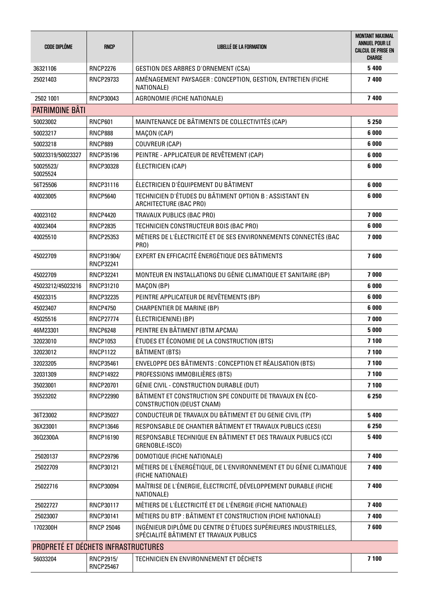| <b>CODE DIPLÔME</b>                        | <b>RNCP</b>                    | <b>LIBELLÉ DE LA FORMATION</b>                                                                            | <b>MONTANT MAXIMAL</b><br>ANNUEL POUR LE<br><b>CALCUL DE PRISE EN</b><br><b>CHARGE</b> |
|--------------------------------------------|--------------------------------|-----------------------------------------------------------------------------------------------------------|----------------------------------------------------------------------------------------|
| 36321106                                   | <b>RNCP2276</b>                | <b>GESTION DES ARBRES D'ORNEMENT (CSA)</b>                                                                | 5 4 0 0                                                                                |
| 25021403                                   | RNCP29733                      | AMENAGEMENT PAYSAGER : CONCEPTION, GESTION, ENTRETIEN (FICHE<br>NATIONALE)                                | 7400                                                                                   |
| 2502 1001                                  | RNCP30043                      | AGRONOMIE (FICHE NATIONALE)                                                                               | 7 400                                                                                  |
| <b>PATRIMOINE BÂTI</b>                     |                                |                                                                                                           |                                                                                        |
| 50023002                                   | <b>RNCP601</b>                 | MAINTENANCE DE BÂTIMENTS DE COLLECTIVITÉS (CAP)                                                           | 5 2 5 0                                                                                |
| 50023217                                   | <b>RNCP888</b>                 | MAÇON (CAP)                                                                                               | 6 000                                                                                  |
| 50023218                                   | <b>RNCP889</b>                 | COUVREUR (CAP)                                                                                            | 6 000                                                                                  |
| 50023319/50023327                          | RNCP35196                      | PEINTRE - APPLICATEUR DE REVÊTEMENT (CAP)                                                                 | 6 000                                                                                  |
| 50025523/<br>50025524                      | RNCP30328                      | ÉLECTRICIEN (CAP)                                                                                         | 6 000                                                                                  |
| 56T25506                                   | RNCP31116                      | ÉLECTRICIEN D'ÉQUIPEMENT DU BÂTIMENT                                                                      | 6 000                                                                                  |
| 40023005                                   | <b>RNCP5640</b>                | TECHNICIEN D'ÉTUDES DU BÂTIMENT OPTION B : ASSISTANT EN<br>ARCHITECTURE (BAC PRO)                         | 6 000                                                                                  |
| 40023102                                   | <b>RNCP4420</b>                | TRAVAUX PUBLICS (BAC PRO)                                                                                 | 7 000                                                                                  |
| 40023404                                   | <b>RNCP2835</b>                | TECHNICIEN CONSTRUCTEUR BOIS (BAC PRO)                                                                    | 6 000                                                                                  |
| 40025510                                   | <b>RNCP25353</b>               | MÉTIERS DE L'ÉLECTRICITÉ ET DE SES ENVIRONNEMENTS CONNECTÉS (BAC<br>PRO)                                  | 7000                                                                                   |
| 45022709                                   | RNCP31904/<br><b>RNCP32241</b> | EXPERT EN EFFICACITÉ ÉNERGÉTIQUE DES BÂTIMENTS                                                            | 7600                                                                                   |
| 45022709                                   | <b>RNCP32241</b>               | MONTEUR EN INSTALLATIONS DU GÉNIE CLIMATIQUE ET SANITAIRE (BP)                                            | 7000                                                                                   |
| 45023212/45023216                          | RNCP31210                      | MAÇON (BP)                                                                                                | 6 000                                                                                  |
| 45023315                                   | <b>RNCP32235</b>               | PEINTRE APPLICATEUR DE REVÊTEMENTS (BP)                                                                   | 6 000                                                                                  |
| 45023407                                   | <b>RNCP4750</b>                | <b>CHARPENTIER DE MARINE (BP)</b>                                                                         | 6 000                                                                                  |
| 45025516                                   | <b>RNCP27774</b>               | ÉLECTRICIEN(NE) (BP)                                                                                      | 7000                                                                                   |
| 46M23301                                   | <b>RNCP6248</b>                | PEINTRE EN BÂTIMENT (BTM APCMA)                                                                           | 5 0 0 0                                                                                |
| 32023010                                   | <b>RNCP1053</b>                | ÉTUDES ET ÉCONOMIE DE LA CONSTRUCTION (BTS)                                                               | 7 100                                                                                  |
| 32023012                                   | <b>RNCP1122</b>                | BÂTIMENT (BTS)                                                                                            | 7 100                                                                                  |
| 32023205                                   | RNCP35461                      | ENVELOPPE DES BÂTIMENTS : CONCEPTION ET RÉALISATION (BTS)                                                 | 7 100                                                                                  |
| 32031309                                   | <b>RNCP14922</b>               | PROFESSIONS IMMOBILIÈRES (BTS)                                                                            | 7 100                                                                                  |
| 35023001                                   | <b>RNCP20701</b>               | GÉNIE CIVIL - CONSTRUCTION DURABLE (DUT)                                                                  | 7 100                                                                                  |
| 35523202                                   | <b>RNCP22990</b>               | BÂTIMENT ET CONSTRUCTION SPE CONDUITE DE TRAVAUX EN ÉCO-<br>CONSTRUCTION (DEUST CNAM)                     | 6 2 5 0                                                                                |
| 36T23002                                   | RNCP35027                      | CONDUCTEUR DE TRAVAUX DU BÂTIMENT ET DU GENIE CIVIL (TP)                                                  | 5 4 0 0                                                                                |
| 36X23001                                   | <b>RNCP13646</b>               | RESPONSABLE DE CHANTIER BÂTIMENT ET TRAVAUX PUBLICS (CESI)                                                | 6 2 5 0                                                                                |
| 3602300A                                   | RNCP16190                      | RESPONSABLE TECHNIQUE EN BÂTIMENT ET DES TRAVAUX PUBLICS (CCI<br>GRENOBLE-ISCO)                           | 5 4 0 0                                                                                |
| 25020137                                   | <b>RNCP29796</b>               | DOMOTIQUE (FICHE NATIONALE)                                                                               | 7 400                                                                                  |
| 25022709                                   | RNCP30121                      | MÉTIERS DE L'ÉNERGÉTIQUE, DE L'ENVIRONNEMENT ET DU GÉNIE CLIMATIQUE<br>(FICHE NATIONALE)                  | 7400                                                                                   |
| 25022716                                   | <b>RNCP30094</b>               | MAÎTRISE DE L'ÉNERGIE, ÉLECTRICITÉ, DÉVELOPPEMENT DURABLE (FICHE<br>NATIONALE)                            | 7400                                                                                   |
| 25022727                                   | RNCP30117                      | MÉTIERS DE L'ÉLECTRICITÉ ET DE L'ÉNERGIE (FICHE NATIONALE)                                                | 7400                                                                                   |
| 25023007                                   | RNCP30141                      | MÉTIERS DU BTP : BÂTIMENT ET CONSTRUCTION (FICHE NATIONALE)                                               | 7 400                                                                                  |
| 1702300H                                   | <b>RNCP 25046</b>              | INGÉNIEUR DIPLÔME DU CENTRE D'ÉTUDES SUPÉRIEURES INDUSTRIELLES,<br>SPÉCIALITÉ BÂTIMENT ET TRAVAUX PUBLICS | 7600                                                                                   |
| <b>PROPRETÉ ET DÉCHETS INFRASTRUCTURES</b> |                                |                                                                                                           |                                                                                        |
| 56033204                                   | RNCP2915/<br><b>RNCP25467</b>  | TECHNICIEN EN ENVIRONNEMENT ET DÉCHETS                                                                    | 7 100                                                                                  |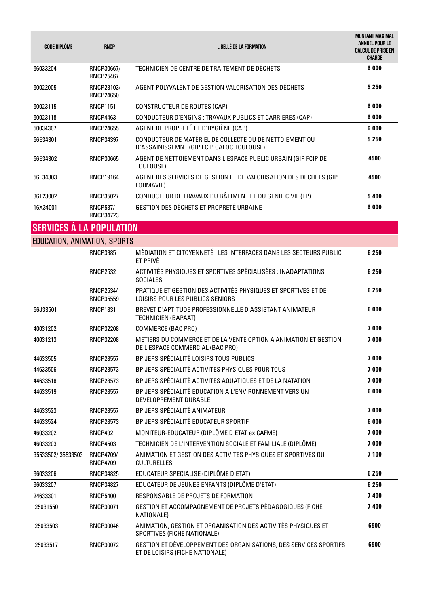| <b>CODE DIPLÔME</b>             | <b>RNCP</b>                          | LIBELLÉ DE LA FORMATION                                                                              | <b>MONTANT MAXIMAL</b><br>ANNUEL POUR LE<br><b>CALCUL DE PRISE EN</b><br><b>CHARGE</b> |
|---------------------------------|--------------------------------------|------------------------------------------------------------------------------------------------------|----------------------------------------------------------------------------------------|
| 56033204                        | RNCP30667/<br><b>RNCP25467</b>       | TECHNICIEN DE CENTRE DE TRAITEMENT DE DÉCHETS                                                        | 6 0 0 0                                                                                |
| 50022005                        | RNCP28103/<br><b>RNCP24650</b>       | AGENT POLYVALENT DE GESTION VALORISATION DES DÉCHETS                                                 | 5 2 5 0                                                                                |
| 50023115                        | <b>RNCP1151</b>                      | CONSTRUCTEUR DE ROUTES (CAP)                                                                         | 6 0 0 0                                                                                |
| 50023118                        | <b>RNCP4463</b>                      | CONDUCTEUR D'ENGINS : TRAVAUX PUBLICS ET CARRIERES (CAP)                                             | 6 0 0 0                                                                                |
| 50034307                        | <b>RNCP24655</b>                     | AGENT DE PROPRETÉ ET D'HYGIÈNE (CAP)                                                                 | 6 0 0 0                                                                                |
| 56E34301                        | <b>RNCP34397</b>                     | CONDUCTEUR DE MATÉRIEL DE COLLECTE OU DE NETTOIEMENT OU<br>D'ASSAINISSEMNT (GIP FCIP CAFOC TOULOUSE) | 5 2 5 0                                                                                |
| 56E34302                        | <b>RNCP30665</b>                     | AGENT DE NETTOIEMENT DANS L'ESPACE PUBLIC URBAIN (GIP FCIP DE<br>TOULOUSE)                           | 4500                                                                                   |
| 56E34303                        | <b>RNCP19164</b>                     | AGENT DES SERVICES DE GESTION ET DE VALORISATION DES DECHETS (GIP<br>FORMAVIE)                       | 4500                                                                                   |
| 36T23002                        | <b>RNCP35027</b>                     | CONDUCTEUR DE TRAVAUX DU BÂTIMENT ET DU GENIE CIVIL (TP)                                             | 5 4 0 0                                                                                |
| 16X34001                        | <b>RNCP587/</b><br><b>RNCP34723</b>  | GESTION DES DÉCHETS ET PROPRETÉ URBAINE                                                              | 6 0 0 0                                                                                |
| <b>SERVICES À LA POPULATION</b> |                                      |                                                                                                      |                                                                                        |
| EDUCATION, ANIMATION, SPORTS    |                                      |                                                                                                      |                                                                                        |
|                                 | <b>RNCP3985</b>                      | MÉDIATION ET CITOYENNETÉ : LES INTERFACES DANS LES SECTEURS PUBLIC<br>ET PRIVÉ                       | 6 2 5 0                                                                                |
|                                 | <b>RNCP2532</b>                      | ACTIVITÉS PHYSIQUES ET SPORTIVES SPÉCIALISÉES : INADAPTATIONS<br><b>SOCIALES</b>                     | 6 2 5 0                                                                                |
|                                 | <b>RNCP2534/</b><br><b>RNCP35559</b> | PRATIQUE ET GESTION DES ACTIVITÉS PHYSIQUES ET SPORTIVES ET DE<br>LOISIRS POUR LES PUBLICS SENIORS   | 6 250                                                                                  |
| 56J33501                        | <b>RNCP1831</b>                      | BREVET D'APTITUDE PROFESSIONNELLE D'ASSISTANT ANIMATEUR<br>TECHNICIEN (BAPAAT)                       | 6 0 0 0                                                                                |
| 40031202                        | <b>RNCP32208</b>                     | <b>COMMERCE (BAC PRO)</b>                                                                            | 7000                                                                                   |
| 40031213                        | <b>RNCP32208</b>                     | METIERS DU COMMERCE ET DE LA VENTE OPTION A ANIMATION ET GESTION<br>DE L'ESPACE COMMERCIAL (BAC PRO) | 7000                                                                                   |
| 44633505                        | <b>RNCP28557</b>                     | BP JEPS SPÉCIALITÉ LOISIRS TOUS PUBLICS                                                              | 7000                                                                                   |
| 44633506                        | <b>RNCP28573</b>                     | BP JEPS SPÉCIALITÉ ACTIVITES PHYSIQUES POUR TOUS                                                     | 7000                                                                                   |
| 44633518                        | <b>RNCP28573</b>                     | BP JEPS SPÉCIALITÉ ACTIVITES AQUATIQUES ET DE LA NATATION                                            | 7000                                                                                   |
| 44633519                        | <b>RNCP28557</b>                     | BP JEPS SPÉCIALITÉ EDUCATION A L'ENVIRONNEMENT VERS UN<br>DEVELOPPEMENT DURABLE                      | 6 0 0 0                                                                                |
| 44633523                        | <b>RNCP28557</b>                     | BP JEPS SPÉCIALITÉ ANIMATEUR                                                                         | 7000                                                                                   |
| 44633524                        | <b>RNCP28573</b>                     | BP JEPS SPÉCIALITÉ EDUCATEUR SPORTIF                                                                 | 6 000                                                                                  |
| 46033202                        | <b>RNCP492</b>                       | MONITEUR-EDUCATEUR (DIPLÔME D'ETAT ex CAFME)                                                         | 7000                                                                                   |
| 46033203                        | <b>RNCP4503</b>                      | TECHNICIEN DE L'INTERVENTION SOCIALE ET FAMILIALE (DIPLÔME)                                          | 7 000                                                                                  |
| 35533502/35533503               | <b>RNCP4709/</b><br><b>RNCP4709</b>  | ANIMATION ET GESTION DES ACTIVITES PHYSIQUES ET SPORTIVES OU<br><b>CULTURELLES</b>                   | 7 100                                                                                  |
| 36033206                        | <b>RNCP34825</b>                     | EDUCATEUR SPECIALISE (DIPLÔME D'ETAT)                                                                | 6 2 5 0                                                                                |
| 36033207                        | RNCP34827                            | EDUCATEUR DE JEUNES ENFANTS (DIPLÔME D'ETAT)                                                         | 6 2 5 0                                                                                |
| 24633301                        | <b>RNCP5400</b>                      | RESPONSABLE DE PROJETS DE FORMATION                                                                  | 7400                                                                                   |
| 25031550                        | RNCP30071                            | GESTION ET ACCOMPAGNEMENT DE PROJETS PÉDAGOGIQUES (FICHE<br>NATIONALE)                               | 7 4 0 0                                                                                |
| 25033503                        | RNCP30046                            | ANIMATION, GESTION ET ORGANISATION DES ACTIVITÉS PHYSIQUES ET<br>SPORTIVES (FICHE NATIONALE)         | 6500                                                                                   |
| 25033517                        | RNCP30072                            | GESTION ET DÉVELOPPEMENT DES ORGANISATIONS, DES SERVICES SPORTIFS<br>ET DE LOISIRS (FICHE NATIONALE) | 6500                                                                                   |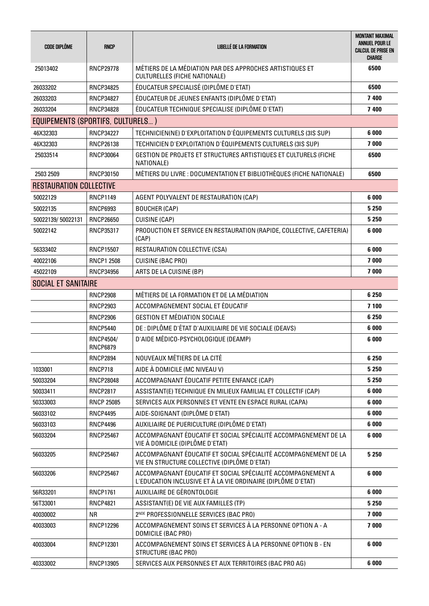| <b>CODE DIPLÔME</b>               | <b>RNCP</b>                         | LIBELLE DE LA FORMATION                                                                                                     | <b>MONTANT MAXIMAL</b><br><b>ANNUEL POUR LE</b><br><b>CALCUL DE PRISE EN</b><br><b>CHARGE</b> |
|-----------------------------------|-------------------------------------|-----------------------------------------------------------------------------------------------------------------------------|-----------------------------------------------------------------------------------------------|
| 25013402                          | <b>RNCP29778</b>                    | MÉTIERS DE LA MÉDIATION PAR DES APPROCHES ARTISTIQUES ET<br>CULTURELLES (FICHE NATIONALE)                                   | 6500                                                                                          |
| 26033202                          | RNCP34825                           | ÉDUCATEUR SPECIALISÉ (DIPLÔME D'ETAT)                                                                                       | 6500                                                                                          |
| 26033203                          | <b>RNCP34827</b>                    | ÉDUCATEUR DE JEUNES ENFANTS (DIPLÔME D'ETAT)                                                                                | 7400                                                                                          |
| 26033204                          | <b>RNCP34828</b>                    | ÉDUCATEUR TECHNIQUE SPECIALISE (DIPLÔME D'ETAT)                                                                             | 7400                                                                                          |
| EQUIPEMENTS (SPORTIFS, CULTURELS) |                                     |                                                                                                                             |                                                                                               |
| 46X32303                          | <b>RNCP34227</b>                    | TECHNICIEN(NE) D'EXPLOITATION D'ÉQUIPEMENTS CULTURELS (3IS SUP)                                                             | 6 000                                                                                         |
| 46X32303                          | <b>RNCP26138</b>                    | TECHNICIEN D'EXPLOITATION D'ÉQUIPEMENTS CULTURELS (3IS SUP)                                                                 | 7000                                                                                          |
| 25033514                          | <b>RNCP30064</b>                    | GESTION DE PROJETS ET STRUCTURES ARTISTIQUES ET CULTURELS (FICHE<br>NATIONALE)                                              | 6500                                                                                          |
| 2503 2509                         | RNCP30150                           | MÉTIERS DU LIVRE : DOCUMENTATION ET BIBLIOTHÈQUES (FICHE NATIONALE)                                                         | 6500                                                                                          |
| <b>RESTAURATION COLLECTIVE</b>    |                                     |                                                                                                                             |                                                                                               |
| 50022129                          | <b>RNCP1149</b>                     | AGENT POLYVALENT DE RESTAURATION (CAP)                                                                                      | 6 0 0 0                                                                                       |
| 50022135                          | <b>RNCP6993</b>                     | <b>BOUCHER (CAP)</b>                                                                                                        | 5 2 5 0                                                                                       |
| 50022139/50022131                 | <b>RNCP26650</b>                    | <b>CUISINE (CAP)</b>                                                                                                        | 5 2 5 0                                                                                       |
| 50022142                          | RNCP35317                           | PRODUCTION ET SERVICE EN RESTAURATION (RAPIDE, COLLECTIVE, CAFETERIA)<br>(CAP)                                              | 6000                                                                                          |
| 56333402                          | <b>RNCP15507</b>                    | RESTAURATION COLLECTIVE (CSA)                                                                                               | 6 000                                                                                         |
| 40022106                          | <b>RNCP1 2508</b>                   | <b>CUISINE (BAC PRO)</b>                                                                                                    | 7000                                                                                          |
| 45022109                          | <b>RNCP34956</b>                    | ARTS DE LA CUISINE (BP)                                                                                                     | 7000                                                                                          |
| <b>SOCIAL ET SANITAIRE</b>        |                                     |                                                                                                                             |                                                                                               |
|                                   | <b>RNCP2908</b>                     | MÉTIERS DE LA FORMATION ET DE LA MÉDIATION                                                                                  | 6 2 5 0                                                                                       |
|                                   | <b>RNCP2903</b>                     | ACCOMPAGNEMENT SOCIAL ET ÉDUCATIF                                                                                           | 7 100                                                                                         |
|                                   | <b>RNCP2906</b>                     | <b>GESTION ET MÉDIATION SOCIALE</b>                                                                                         | 6 2 5 0                                                                                       |
|                                   | <b>RNCP5440</b>                     | DE : DIPLÔME D'ÉTAT D'AUXILIAIRE DE VIE SOCIALE (DEAVS)                                                                     | 6 000                                                                                         |
|                                   | <b>RNCP4504/</b><br><b>RNCP6879</b> | D'AIDE MÉDICO-PSYCHOLOGIQUE (DEAMP)                                                                                         | 6 0 0 0                                                                                       |
|                                   | <b>RNCP2894</b>                     | NOUVEAUX MÉTIERS DE LA CITÉ                                                                                                 | 6 2 5 0                                                                                       |
| 1033001                           | <b>RNCP718</b>                      | AIDE À DOMICILE (MC NIVEAU V)                                                                                               | 5 2 5 0                                                                                       |
| 50033204                          | <b>RNCP28048</b>                    | ACCOMPAGNANT ÉDUCATIF PETITE ENFANCE (CAP)                                                                                  | 5 2 5 0                                                                                       |
| 50033411                          | <b>RNCP2817</b>                     | ASSISTANT(E) TECHNIQUE EN MILIEUX FAMILIAL ET COLLECTIF (CAP)                                                               | 6 000                                                                                         |
| 50333003                          | <b>RNCP 25085</b>                   | SERVICES AUX PERSONNES ET VENTE EN ESPACE RURAL (CAPA)                                                                      | 6 0 0 0                                                                                       |
| 56033102                          | <b>RNCP4495</b>                     | AIDE-SOIGNANT (DIPLÔME D'ETAT)                                                                                              | 6 000                                                                                         |
| 56033103                          | <b>RNCP4496</b>                     | AUXILIAIRE DE PUERICULTURE (DIPLÔME D'ETAT)                                                                                 | 6 000                                                                                         |
| 56033204                          | <b>RNCP25467</b>                    | ACCOMPAGNANT ÉDUCATIF ET SOCIAL SPÉCIALITÉ ACCOMPAGNEMENT DE LA<br>VIE À DOMICILE (DIPLÔME D'ETAT)                          | 6 0 0 0                                                                                       |
| 56033205                          | <b>RNCP25467</b>                    | ACCOMPAGNANT ÉDUCATIF ET SOCIAL SPÉCIALITÉ ACCOMPAGNEMENT DE LA<br>VIE EN STRUCTURE COLLECTIVE (DIPLÔME D'ETAT)             | 5 2 5 0                                                                                       |
| 56033206                          | <b>RNCP25467</b>                    | ACCOMPAGNANT ÉDUCATIF ET SOCIAL SPÉCIALITÉ ACCOMPAGNEMENT A<br>L'EDUCATION INCLUSIVE ET À LA VIE ORDINAIRE (DIPLÔME D'ETAT) | 6 000                                                                                         |
| 56R33201                          | <b>RNCP1761</b>                     | AUXILIAIRE DE GÉRONTOLOGIE                                                                                                  | 6 000                                                                                         |
| 56T33001                          | <b>RNCP4821</b>                     | ASSISTANT(E) DE VIE AUX FAMILLES (TP)                                                                                       | 5 2 5 0                                                                                       |
| 40030002                          | <b>NR</b>                           | 2 <sup>NDE</sup> PROFESSIONNELLE SERVICES (BAC PRO)                                                                         | 7000                                                                                          |
| 40033003                          | <b>RNCP12296</b>                    | ACCOMPAGNEMENT SOINS ET SERVICES À LA PERSONNE OPTION A - A<br>DOMICILE (BAC PRO)                                           | 7000                                                                                          |
| 40033004                          | RNCP12301                           | ACCOMPAGNEMENT SOINS ET SERVICES À LA PERSONNE OPTION B - EN<br><b>STRUCTURE (BAC PRO)</b>                                  | 6 0 0 0                                                                                       |
| 40333002                          | RNCP13905                           | SERVICES AUX PERSONNES ET AUX TERRITOIRES (BAC PRO AG)                                                                      | 6 000                                                                                         |